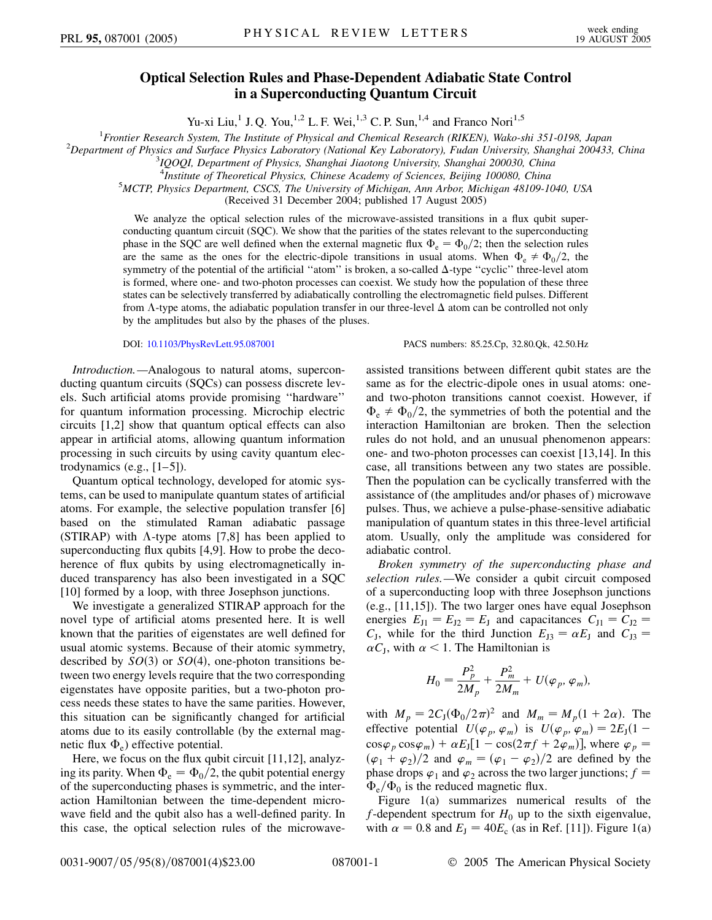## **Optical Selection Rules and Phase-Dependent Adiabatic State Control in a Superconducting Quantum Circuit**

Yu-xi Liu,<sup>1</sup> J. Q. You,<sup>1,2</sup> L. F. Wei,<sup>1,3</sup> C. P. Sun,<sup>1,4</sup> and Franco Nori<sup>1,5</sup>

<sup>1</sup> *Frontier Research System, The Institute of Physical and Chemical Research (RIKEN), Wako-shi 351-0198, Japan* <sup>2</sup><br><sup>2</sup> *Penartment of Physics and Syrface Physics Laboratory (National Kay Laboratory), Eudan University, S* 

*Department of Physics and Surface Physics Laboratory (National Key Laboratory), Fudan University, Shanghai 200433, China* <sup>3</sup>

*IQOQI, Department of Physics, Shanghai Jiaotong University, Shanghai 200030, China*

<sup>4</sup>*Institute of Theoretical Physics, Chinese Academy of Sciences, Beijing 100080, China* 5*MCTP Physics Department CSCS, The University of Michigan Ann Arbor Michigan 48100 14* 

*MCTP, Physics Department, CSCS, The University of Michigan, Ann Arbor, Michigan 48109-1040, USA*

(Received 31 December 2004; published 17 August 2005)

We analyze the optical selection rules of the microwave-assisted transitions in a flux qubit superconducting quantum circuit (SQC). We show that the parities of the states relevant to the superconducting phase in the SQC are well defined when the external magnetic flux  $\Phi_e = \Phi_0/2$ ; then the selection rules are the same as the ones for the electric-dipole transitions in usual atoms. When  $\Phi_{\rm e} \neq \Phi_0/2$ , the symmetry of the potential of the artificial "atom" is broken, a so-called  $\Delta$ -type "cyclic" three-level atom is formed, where one- and two-photon processes can coexist. We study how the population of these three states can be selectively transferred by adiabatically controlling the electromagnetic field pulses. Different from  $\Lambda$ -type atoms, the adiabatic population transfer in our three-level  $\Delta$  atom can be controlled not only by the amplitudes but also by the phases of the pluses.

DOI: [10.1103/PhysRevLett.95.087001](http://dx.doi.org/10.1103/PhysRevLett.95.087001) PACS numbers: 85.25.Cp, 32.80.Qk, 42.50.Hz

*Introduction.—*Analogous to natural atoms, superconducting quantum circuits (SQCs) can possess discrete levels. Such artificial atoms provide promising ''hardware'' for quantum information processing. Microchip electric circuits [1,2] show that quantum optical effects can also appear in artificial atoms, allowing quantum information processing in such circuits by using cavity quantum electrodynamics  $(e.g., [1-5])$ .

Quantum optical technology, developed for atomic systems, can be used to manipulate quantum states of artificial atoms. For example, the selective population transfer [6] based on the stimulated Raman adiabatic passage (STIRAP) with  $\Lambda$ -type atoms [7,8] has been applied to superconducting flux qubits [4,9]. How to probe the decoherence of flux qubits by using electromagnetically induced transparency has also been investigated in a SQC [10] formed by a loop, with three Josephson junctions.

We investigate a generalized STIRAP approach for the novel type of artificial atoms presented here. It is well known that the parities of eigenstates are well defined for usual atomic systems. Because of their atomic symmetry, described by  $SO(3)$  or  $SO(4)$ , one-photon transitions between two energy levels require that the two corresponding eigenstates have opposite parities, but a two-photon process needs these states to have the same parities. However, this situation can be significantly changed for artificial atoms due to its easily controllable (by the external magnetic flux  $\Phi$ <sub>e</sub>) effective potential.

Here, we focus on the flux qubit circuit [11,12], analyzing its parity. When  $\Phi_e = \Phi_0/2$ , the qubit potential energy of the superconducting phases is symmetric, and the interaction Hamiltonian between the time-dependent microwave field and the qubit also has a well-defined parity. In this case, the optical selection rules of the microwaveassisted transitions between different qubit states are the same as for the electric-dipole ones in usual atoms: oneand two-photon transitions cannot coexist. However, if  $\Phi_{\rm e} \neq \Phi_0/2$ , the symmetries of both the potential and the interaction Hamiltonian are broken. Then the selection rules do not hold, and an unusual phenomenon appears: one- and two-photon processes can coexist [13,14]. In this case, all transitions between any two states are possible. Then the population can be cyclically transferred with the assistance of (the amplitudes and/or phases of) microwave pulses. Thus, we achieve a pulse-phase-sensitive adiabatic manipulation of quantum states in this three-level artificial atom. Usually, only the amplitude was considered for adiabatic control.

*Broken symmetry of the superconducting phase and selection rules.—*We consider a qubit circuit composed of a superconducting loop with three Josephson junctions (e.g., [11,15]). The two larger ones have equal Josephson energies  $E_{J1} = E_{J2} = E_J$  and capacitances  $C_{J1} = C_{J2} =$  $C_J$ , while for the third Junction  $E_{J3} = \alpha E_J$  and  $C_{J3} =$  $\alpha C_J$ , with  $\alpha < 1$ . The Hamiltonian is

$$
H_0 = \frac{P_p^2}{2M_p} + \frac{P_m^2}{2M_m} + U(\varphi_p, \varphi_m),
$$

with  $M_p = 2C_J(\Phi_0/2\pi)^2$  and  $M_m = M_p(1 + 2\alpha)$ . The effective potential  $U(\varphi_p, \varphi_m)$  is  $U(\varphi_p, \varphi_m) = 2E_J(1 \cos\varphi_p \cos\varphi_m$  +  $\alpha E_J[1 - \cos(2\pi f + 2\varphi_m)]$ , where  $\varphi_p$  =  $(\varphi_1 + \varphi_2)/2$  and  $\varphi_m = (\varphi_1 - \varphi_2)/2$  are defined by the phase drops  $\varphi_1$  and  $\varphi_2$  across the two larger junctions;  $f =$  $\Phi_{\rm e}/\Phi_0$  is the reduced magnetic flux.

Figure 1(a) summarizes numerical results of the  $f$ -dependent spectrum for  $H_0$  up to the sixth eigenvalue, with  $\alpha = 0.8$  and  $E_J = 40E_c$  (as in Ref. [11]). Figure 1(a)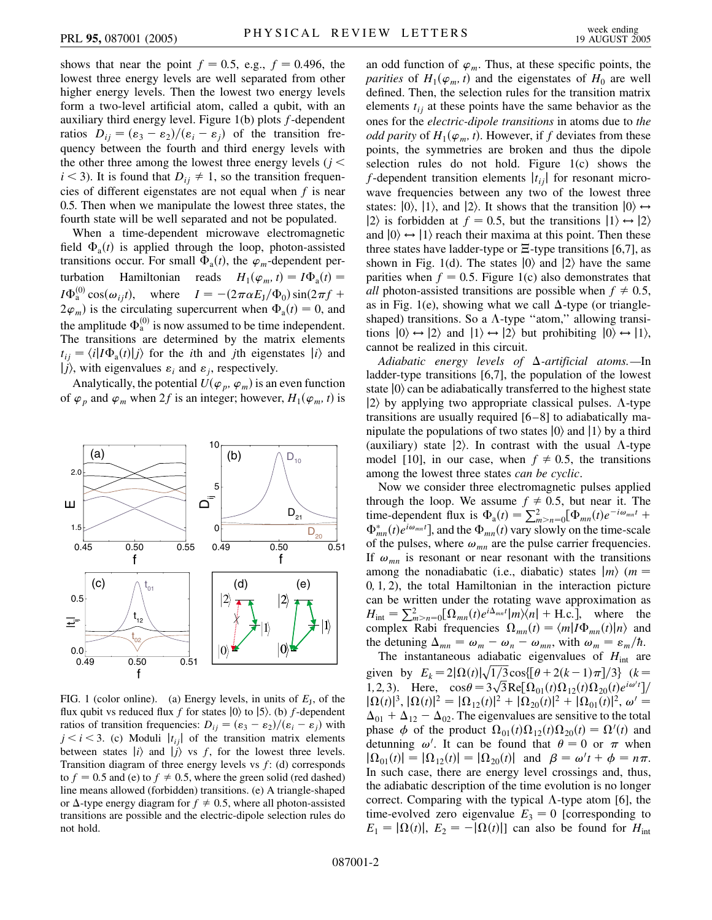shows that near the point  $f = 0.5$ , e.g.,  $f = 0.496$ , the lowest three energy levels are well separated from other higher energy levels. Then the lowest two energy levels form a two-level artificial atom, called a qubit, with an auxiliary third energy level. Figure 1(b) plots *f*-dependent ratios  $D_{ij} = (\varepsilon_3 - \varepsilon_2)/(\varepsilon_i - \varepsilon_j)$  of the transition frequency between the fourth and third energy levels with the other three among the lowest three energy levels (*j <*  $i < 3$ ). It is found that  $D_{ij} \neq 1$ , so the transition frequencies of different eigenstates are not equal when *f* is near 0.5. Then when we manipulate the lowest three states, the fourth state will be well separated and not be populated.

When a time-dependent microwave electromagnetic field  $\Phi_a(t)$  is applied through the loop, photon-assisted transitions occur. For small  $\Phi_a(t)$ , the  $\varphi_m$ -dependent perturbation Hamiltonian reads  $H_1(\varphi_m, t) = I\Phi_a(t) =$  $I\Phi_{a}^{(0)}\cos(\omega_{ij}t)$ , where  $I = -(2\pi\alpha E_{J}/\Phi_{0})\sin(2\pi f +$  $(2\varphi_m)$  is the circulating supercurrent when  $\Phi_a(t) = 0$ , and the amplitude  $\Phi_a^{(0)}$  is now assumed to be time independent. The transitions are determined by the matrix elements  $t_{ij} = \langle i | I \Phi_a(t) | j \rangle$  for the *i*th and *j*th eigenstates  $|i\rangle$  and  $|j\rangle$ , with eigenvalues  $\varepsilon_i$  and  $\varepsilon_j$ , respectively.

Analytically, the potential  $U(\varphi_p, \varphi_m)$  is an even function of  $\varphi_p$  and  $\varphi_m$  when 2*f* is an integer; however,  $H_1(\varphi_m, t)$  is



FIG. 1 (color online). (a) Energy levels, in units of  $E_J$ , of the flux qubit vs reduced flux  $f$  for states  $|0\rangle$  to  $|5\rangle$ . (b)  $f$ -dependent ratios of transition frequencies:  $D_{ij} = (\varepsilon_3 - \varepsilon_2)/(\varepsilon_i - \varepsilon_j)$  with  $j < i < 3$ . (c) Moduli  $|t_{ij}|$  of the transition matrix elements between states  $|i\rangle$  and  $|i\rangle$  vs *f*, for the lowest three levels. Transition diagram of three energy levels vs *f*: (d) corresponds to  $f = 0.5$  and (e) to  $f \neq 0.5$ , where the green solid (red dashed) line means allowed (forbidden) transitions. (e) A triangle-shaped or  $\Delta$ -type energy diagram for  $f \neq 0.5$ , where all photon-assisted transitions are possible and the electric-dipole selection rules do not hold.

an odd function of  $\varphi_m$ . Thus, at these specific points, the *parities* of  $H_1(\varphi_m, t)$  and the eigenstates of  $H_0$  are well defined. Then, the selection rules for the transition matrix elements  $t_{ij}$  at these points have the same behavior as the ones for the *electric-dipole transitions* in atoms due to *the odd parity* of  $H_1(\varphi_m, t)$ . However, if *f* deviates from these points, the symmetries are broken and thus the dipole selection rules do not hold. Figure 1(c) shows the *f*-dependent transition elements  $|t_{ij}|$  for resonant microwave frequencies between any two of the lowest three states:  $|0\rangle$ ,  $|1\rangle$ , and  $|2\rangle$ . It shows that the transition  $|0\rangle \leftrightarrow$  $|2\rangle$  is forbidden at  $f = 0.5$ , but the transitions  $|1\rangle \leftrightarrow |2\rangle$ and  $|0\rangle \leftrightarrow |1\rangle$  reach their maxima at this point. Then these three states have ladder-type or  $\Xi$ -type transitions [6,7], as shown in Fig. 1(d). The states  $|0\rangle$  and  $|2\rangle$  have the same parities when  $f = 0.5$ . Figure 1(c) also demonstrates that *all* photon-assisted transitions are possible when  $f \neq 0.5$ , as in Fig. 1(e), showing what we call  $\Delta$ -type (or triangleshaped) transitions. So a  $\Lambda$ -type "atom," allowing transitions  $|0\rangle \leftrightarrow |2\rangle$  and  $|1\rangle \leftrightarrow |2\rangle$  but prohibiting  $|0\rangle \leftrightarrow |1\rangle$ , cannot be realized in this circuit.

Adiabatic energy levels of  $\Delta$ -artificial atoms.-In ladder-type transitions [6,7], the population of the lowest state  $|0\rangle$  can be adiabatically transferred to the highest state  $|2\rangle$  by applying two appropriate classical pulses.  $\Lambda$ -type transitions are usually required [6–8] to adiabatically manipulate the populations of two states  $|0\rangle$  and  $|1\rangle$  by a third (auxiliary) state  $|2\rangle$ . In contrast with the usual  $\Lambda$ -type model [10], in our case, when  $f \neq 0.5$ , the transitions among the lowest three states *can be cyclic*.

Now we consider three electromagnetic pulses applied through the loop. We assume  $f \neq 0.5$ , but near it. The time-dependent flux is  $\Phi_a(t) = \sum_{m>n=0}^{2} [\Phi_{mn}(t)e^{-i\omega_{mn}t} +$  $\Phi_{mn}^*(t)e^{i\omega_{mn}t}$ , and the  $\Phi_{mn}(t)$  vary slowly on the time-scale of the pulses, where  $\omega_{mn}$  are the pulse carrier frequencies. If  $\omega_{mn}$  is resonant or near resonant with the transitions among the nonadiabatic (i.e., diabatic) states  $|m\rangle$  (*m* = 0*;* 1*;* 2), the total Hamiltonian in the interaction picture can be written under the rotating wave approximation as  $H_{\text{int}} = \sum_{m>n=0}^{2} [\Omega_{mn}(t)e^{i\Delta_{mn}t}]m\rangle\langle n| + \text{H.c.}],$  where the complex Rabi frequencies  $\Omega_{mn}(t) = \langle m | I \Phi_{mn}(t) | n \rangle$  and the detuning  $\Delta_{mn} = \omega_m - \omega_n - \omega_{mn}$ , with  $\omega_m = \varepsilon_m / \hbar$ .

The instantaneous adiabatic eigenvalues of  $H<sub>int</sub>$  are given by  $E_k = 2|\Omega(t)|\sqrt{1/3}\cos{\left[\theta + 2(k-1)\pi\right]}/3$  ( $k=$ -<br>1 ----<br>7 .<br>آ given by  $E_k = 2[2L(t)]\sqrt{1/3} \cos{\pi t}(\theta + 2(k-1)\pi t/3]$  ( $k = 1, 2, 3$ ). Here,  $\cos{\theta} = 3\sqrt{3} \text{Re}[\Omega_{01}(t)\Omega_{12}(t)\Omega_{20}(t)e^{i\omega' t}]$ -<br>آ -<br>י  $|\Omega(t)|^3$ ,  $|\Omega(t)|^2 = |\Omega_{12}(t)|^2 + |\Omega_{20}(t)|^2 + |\Omega_{01}(t)|^2$ ,  $\omega' =$  $\Delta_{01}$  +  $\Delta_{12}$  –  $\Delta_{02}$ . The eigenvalues are sensitive to the total phase  $\phi$  of the product  $\Omega_{01}(t)\Omega_{12}(t)\Omega_{20}(t) = \Omega'(t)$  and detunning  $\omega'$ . It can be found that  $\theta = 0$  or  $\pi$  when  $|\Omega_{01}(t)| = |\Omega_{12}(t)| = |\Omega_{20}(t)|$  and  $\beta = \omega' t + \phi = n\pi$ . In such case, there are energy level crossings and, thus, the adiabatic description of the time evolution is no longer correct. Comparing with the typical  $\Lambda$ -type atom [6], the time-evolved zero eigenvalue  $E_3 = 0$  [corresponding to  $E_1 = |\Omega(t)|$ ,  $E_2 = -|\Omega(t)|$  can also be found for  $H_{int}$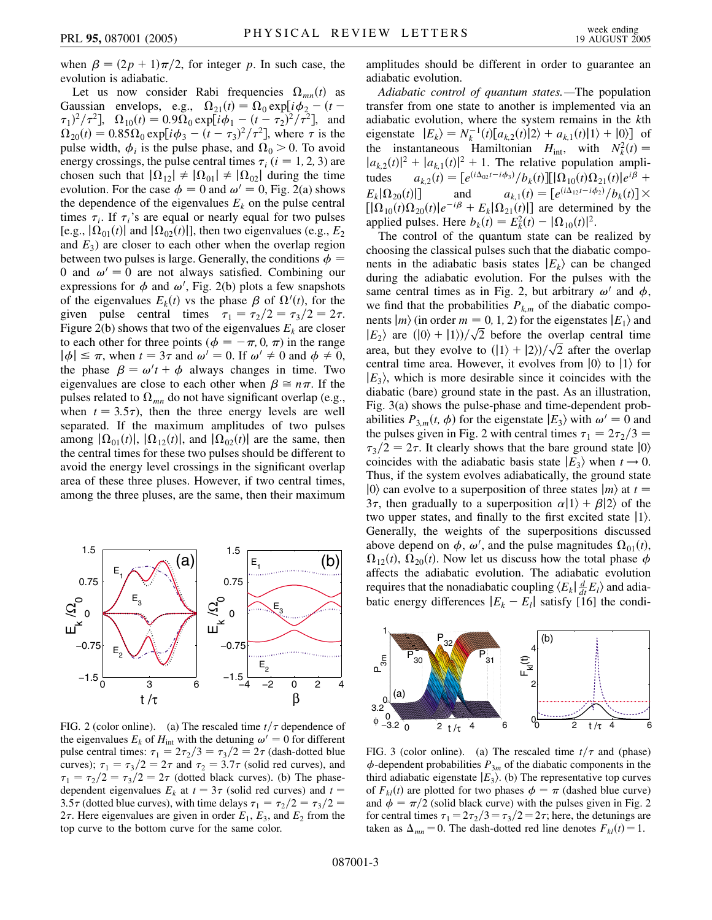when  $\beta = (2p + 1)\pi/2$ , for integer *p*. In such case, the evolution is adiabatic.

Let us now consider Rabi frequencies  $\Omega_{mn}(t)$  as Gaussian envelops, e.g.,  $\Omega_{21}(t) = \Omega_0 \exp[i\phi_2 - (t (\tau_1)^2 / \tau^2$ ,  $\Omega_{10}(t) = 0.9 \Omega_0 \exp[i\phi_1 - (t - \tau_2)^2 / \tau^2]$ , and  $\Omega_{20}(t) = 0.85 \Omega_0 \exp[i\phi_3 - (t - \tau_3)^2/\tau^2]$ , where  $\tau$  is the pulse width,  $\phi_i$  is the pulse phase, and  $\Omega_0 > 0$ . To avoid energy crossings, the pulse central times  $\tau_i$  ( $i = 1, 2, 3$ ) are chosen such that  $|\Omega_{12}| \neq |\Omega_{01}| \neq |\Omega_{02}|$  during the time evolution. For the case  $\phi = 0$  and  $\omega' = 0$ , Fig. 2(a) shows the dependence of the eigenvalues  $E_k$  on the pulse central times  $\tau_i$ . If  $\tau_i$ 's are equal or nearly equal for two pulses [e.g.,  $|\Omega_{01}(t)|$  and  $|\Omega_{02}(t)|$ ], then two eigenvalues (e.g.,  $E_2$ ) and  $E_3$ ) are closer to each other when the overlap region between two pulses is large. Generally, the conditions  $\phi =$ 0 and  $\omega' = 0$  are not always satisfied. Combining our expressions for  $\phi$  and  $\omega'$ , Fig. 2(b) plots a few snapshots of the eigenvalues  $E_k(t)$  vs the phase  $\beta$  of  $\Omega'(t)$ , for the given pulse central times  $\tau_1 = \tau_2/2 = \tau_3/2 = 2\tau$ . Figure 2(b) shows that two of the eigenvalues  $E_k$  are closer to each other for three points ( $\phi = -\pi$ , 0,  $\pi$ ) in the range  $|\phi| \leq \pi$ , when  $t = 3\tau$  and  $\omega' = 0$ . If  $\omega' \neq 0$  and  $\phi \neq 0$ , the phase  $\beta = \omega' t + \phi$  always changes in time. Two eigenvalues are close to each other when  $\beta \cong n\pi$ . If the pulses related to  $\Omega_{mn}$  do not have significant overlap (e.g., when  $t = 3.5\tau$ , then the three energy levels are well separated. If the maximum amplitudes of two pulses among  $|\Omega_{01}(t)|$ ,  $|\Omega_{12}(t)|$ , and  $|\Omega_{02}(t)|$  are the same, then the central times for these two pulses should be different to avoid the energy level crossings in the significant overlap area of these three pluses. However, if two central times, among the three pluses, are the same, then their maximum



FIG. 2 (color online). (a) The rescaled time  $t/\tau$  dependence of the eigenvalues  $E_k$  of  $H_{int}$  with the detuning  $\omega' = 0$  for different pulse central times:  $\tau_1 = 2\tau_2/3 = \tau_3/2 = 2\tau$  (dash-dotted blue curves);  $\tau_1 = \tau_3/2 = 2\tau$  and  $\tau_2 = 3.7\tau$  (solid red curves), and  $\tau_1 = \tau_2/2 = \tau_3/2 = 2\tau$  (dotted black curves). (b) The phasedependent eigenvalues  $E_k$  at  $t = 3\tau$  (solid red curves) and  $t =$ 3.5 $\tau$  (dotted blue curves), with time delays  $\tau_1 = \tau_2/2 = \tau_3/2 =$ 2 $\tau$ . Here eigenvalues are given in order  $E_1$ ,  $E_3$ , and  $E_2$  from the top curve to the bottom curve for the same color.

amplitudes should be different in order to guarantee an adiabatic evolution.

*Adiabatic control of quantum states.—*The population transfer from one state to another is implemented via an adiabatic evolution, where the system remains in the *k*th eigenstate  $|E_k\rangle = N_k^{-1}(t)[a_{k,2}(t)|2\rangle + a_{k,1}(t)|1\rangle + |0\rangle]$  of the instantaneous Hamiltonian  $H_{int}$ , with  $N_k^2(t) =$  $|a_{k,2}(t)|^2 + |a_{k,1}(t)|^2 + 1$ . The relative population amplitudes  $a_{k,2}(t) = \frac{e^{(i\Delta_{02}t - i\phi_3)}}{b_k(t)} \cdot \frac{\ln(n) \cdot \ln(n) \cdot \ln(n)}{2 \cdot \ln(n)}$  $E_k[\Omega_{20}(t)]$ *t*)|] and  $a_{k,1}(t) = \frac{e^{(i\Delta_{12}t - i\phi_2)} / b_k(t)}{k}$  $\left[ |\Omega_{10}(t)\Omega_{20}(t)|e^{-i\beta} + E_k|\Omega_{21}(t)| \right]$  are determined by the applied pulses. Here  $b_k(t) = E_k^2(t) - |\Omega_{10}(t)|^2$ .

The control of the quantum state can be realized by choosing the classical pulses such that the diabatic components in the adiabatic basis states  $|E_k\rangle$  can be changed during the adiabatic evolution. For the pulses with the same central times as in Fig. 2, but arbitrary  $\omega'$  and  $\phi$ , we find that the probabilities  $P_{k,m}$  of the diabatic components  $|m\rangle$  (in order  $m = 0, 1, 2$ ) for the eigenstates  $|E_1\rangle$  and nents  $|m\rangle$  (in order  $m = 0, 1, 2$ ) for the eigenstates  $|E_1\rangle$  and  $|E_2\rangle$  are  $(|0\rangle + |1\rangle)/\sqrt{2}$  before the overlap central time -- $|E_2\rangle$  are  $(|0\rangle + |1\rangle)/\sqrt{2}$  before the overlap central time<br>area, but they evolve to  $(|1\rangle + |2\rangle)/\sqrt{2}$  after the overlap .<br>آ central time area. However, it evolves from  $|0\rangle$  to  $|1\rangle$  for  $|E_3\rangle$ , which is more desirable since it coincides with the diabatic (bare) ground state in the past. As an illustration, Fig. 3(a) shows the pulse-phase and time-dependent probabilities  $P_{3,m}(t, \phi)$  for the eigenstate  $|E_3\rangle$  with  $\omega' = 0$  and the pulses given in Fig. 2 with central times  $\tau_1 = 2\tau_2/3$  =  $\tau_3/2 = 2\tau$ . It clearly shows that the bare ground state  $|0\rangle$ coincides with the adiabatic basis state  $|E_3\rangle$  when  $t \to 0$ . Thus, if the system evolves adiabatically, the ground state  $|0\rangle$  can evolve to a superposition of three states  $|m\rangle$  at  $t =$ 3 $\tau$ , then gradually to a superposition  $\alpha|1\rangle + \beta|2\rangle$  of the two upper states, and finally to the first excited state  $|1\rangle$ . Generally, the weights of the superpositions discussed above depend on  $\phi$ ,  $\omega'$ , and the pulse magnitudes  $\Omega_{01}(t)$ ,  $\Omega_{12}(t)$ ,  $\Omega_{20}(t)$ . Now let us discuss how the total phase  $\phi$ affects the adiabatic evolution. The adiabatic evolution requires that the nonadiabatic coupling  $\langle E_k | \frac{d}{dt} E_l \rangle$  and adiabatic energy differences  $|E_k - E_l|$  satisfy [16] the condi-



FIG. 3 (color online). (a) The rescaled time  $t/\tau$  and (phase)  $\phi$ -dependent probabilities  $P_{3m}$  of the diabatic components in the third adiabatic eigenstate  $|E_3\rangle$ . (b) The representative top curves of  $F_{kl}(t)$  are plotted for two phases  $\phi = \pi$  (dashed blue curve) and  $\phi = \pi/2$  (solid black curve) with the pulses given in Fig. 2 for central times  $\tau_1 = 2\tau_2/3 = \tau_3/2 = 2\tau$ ; here, the detunings are taken as  $\Delta_{mn} = 0$ . The dash-dotted red line denotes  $F_{kl}(t) = 1$ .